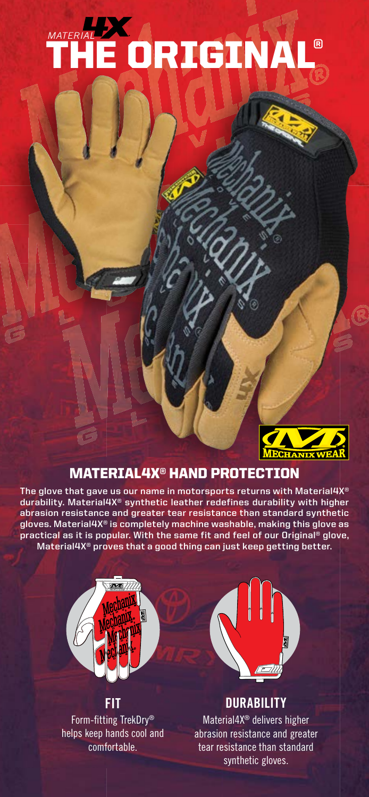## THE ORIGINAL® *DURABILITY REDEFINED*



### MATERIAL4X® HAND PROTECTION

**The glove that gave us our name in motorsports returns with Material4X® durability. Material4X® synthetic leather redefines durability with higher abrasion resistance and greater tear resistance than standard synthetic gloves. Material4X® is completely machine washable, making this glove as practical as it is popular. With the same fit and feel of our Original® glove, Material4X® proves that a good thing can just keep getting better.**



### **FIT**

Form-fitting TrekDry® helps keep hands cool and comfortable.



### **DURABILITY**

Material4X® delivers higher abrasion resistance and greater tear resistance than standard synthetic gloves.